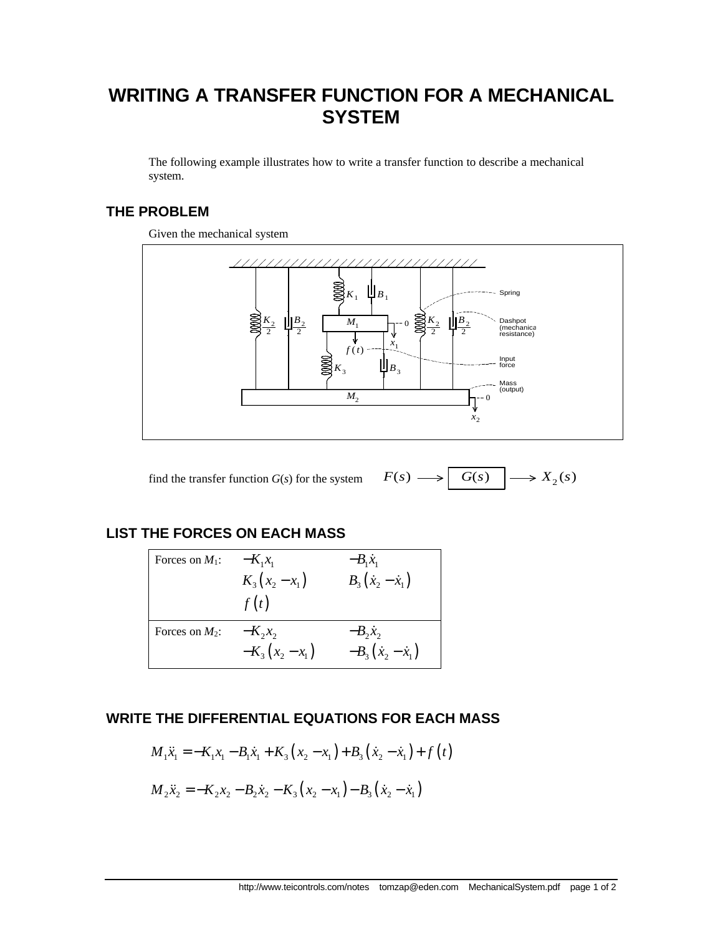# **WRITING A TRANSFER FUNCTION FOR A MECHANICAL SYSTEM**

The following example illustrates how to write a transfer function to describe a mechanical system.

## **THE PROBLEM**

Given the mechanical system





## **LIST THE FORCES ON EACH MASS**

| Forces on $M_1$ : | $-K_1x_1$        | $-B_1\dot{x}_1$              |
|-------------------|------------------|------------------------------|
|                   | $K_3(x_2 - x_1)$ | $B_3(\dot{x}_2 - \dot{x}_1)$ |
|                   | f(t)             |                              |
| Forces on $M_2$ : | $-K_2x_2$        | $-B_2x_2$                    |
|                   | $-K_3(x_2-x_1)$  | $-B_3(x_2 - x_1)$            |

### **WRITE THE DIFFERENTIAL EQUATIONS FOR EACH MASS**

$$
M_1\ddot{x}_1 = -K_1x_1 - B_1\dot{x}_1 + K_3(x_2 - x_1) + B_3(\dot{x}_2 - \dot{x}_1) + f(t)
$$
  

$$
M_2\ddot{x}_2 = -K_2x_2 - B_2\dot{x}_2 - K_3(x_2 - x_1) - B_3(\dot{x}_2 - \dot{x}_1)
$$